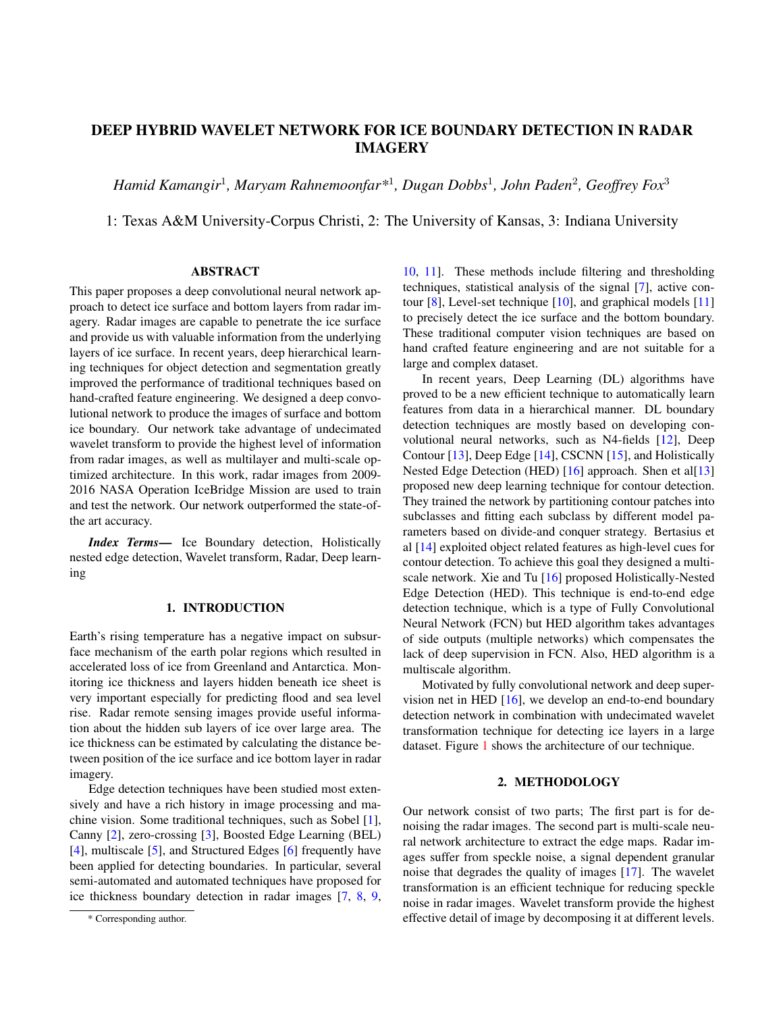# DEEP HYBRID WAVELET NETWORK FOR ICE BOUNDARY DETECTION IN RADAR IMAGERY

*Hamid Kamangir*<sup>1</sup> *, Maryam Rahnemoonfar\**<sup>1</sup> *, Dugan Dobbs*<sup>1</sup> *, John Paden*<sup>2</sup> *, Geoffrey Fox*<sup>3</sup>

1: Texas A&M University-Corpus Christi, 2: The University of Kansas, 3: Indiana University

### ABSTRACT

This paper proposes a deep convolutional neural network approach to detect ice surface and bottom layers from radar imagery. Radar images are capable to penetrate the ice surface and provide us with valuable information from the underlying layers of ice surface. In recent years, deep hierarchical learning techniques for object detection and segmentation greatly improved the performance of traditional techniques based on hand-crafted feature engineering. We designed a deep convolutional network to produce the images of surface and bottom ice boundary. Our network take advantage of undecimated wavelet transform to provide the highest level of information from radar images, as well as multilayer and multi-scale optimized architecture. In this work, radar images from 2009- 2016 NASA Operation IceBridge Mission are used to train and test the network. Our network outperformed the state-ofthe art accuracy.

*Index Terms*— Ice Boundary detection, Holistically nested edge detection, Wavelet transform, Radar, Deep learning

### 1. INTRODUCTION

Earth's rising temperature has a negative impact on subsurface mechanism of the earth polar regions which resulted in accelerated loss of ice from Greenland and Antarctica. Monitoring ice thickness and layers hidden beneath ice sheet is very important especially for predicting flood and sea level rise. Radar remote sensing images provide useful information about the hidden sub layers of ice over large area. The ice thickness can be estimated by calculating the distance between position of the ice surface and ice bottom layer in radar imagery.

Edge detection techniques have been studied most extensively and have a rich history in image processing and machine vision. Some traditional techniques, such as Sobel [\[1\]](#page-3-0), Canny [\[2\]](#page-3-1), zero-crossing [\[3\]](#page-3-2), Boosted Edge Learning (BEL) [\[4\]](#page-3-3), multiscale [\[5\]](#page-3-4), and Structured Edges [\[6\]](#page-3-5) frequently have been applied for detecting boundaries. In particular, several semi-automated and automated techniques have proposed for ice thickness boundary detection in radar images [\[7,](#page-3-6) [8,](#page-3-7) [9,](#page-3-8)

[10,](#page-3-9) [11\]](#page-3-10). These methods include filtering and thresholding techniques, statistical analysis of the signal [\[7\]](#page-3-6), active contour [\[8\]](#page-3-7), Level-set technique [\[10\]](#page-3-9), and graphical models [\[11\]](#page-3-10) to precisely detect the ice surface and the bottom boundary. These traditional computer vision techniques are based on hand crafted feature engineering and are not suitable for a large and complex dataset.

In recent years, Deep Learning (DL) algorithms have proved to be a new efficient technique to automatically learn features from data in a hierarchical manner. DL boundary detection techniques are mostly based on developing convolutional neural networks, such as N4-fields [\[12\]](#page-3-11), Deep Contour [\[13\]](#page-3-12), Deep Edge [\[14\]](#page-3-13), CSCNN [\[15\]](#page-3-14), and Holistically Nested Edge Detection (HED) [\[16\]](#page-3-15) approach. Shen et al[\[13\]](#page-3-12) proposed new deep learning technique for contour detection. They trained the network by partitioning contour patches into subclasses and fitting each subclass by different model parameters based on divide-and conquer strategy. Bertasius et al [\[14\]](#page-3-13) exploited object related features as high-level cues for contour detection. To achieve this goal they designed a multiscale network. Xie and Tu [\[16\]](#page-3-15) proposed Holistically-Nested Edge Detection (HED). This technique is end-to-end edge detection technique, which is a type of Fully Convolutional Neural Network (FCN) but HED algorithm takes advantages of side outputs (multiple networks) which compensates the lack of deep supervision in FCN. Also, HED algorithm is a multiscale algorithm.

Motivated by fully convolutional network and deep supervision net in HED [\[16\]](#page-3-15), we develop an end-to-end boundary detection network in combination with undecimated wavelet transformation technique for detecting ice layers in a large dataset. Figure [1](#page-1-0) shows the architecture of our technique.

### 2. METHODOLOGY

Our network consist of two parts; The first part is for denoising the radar images. The second part is multi-scale neural network architecture to extract the edge maps. Radar images suffer from speckle noise, a signal dependent granular noise that degrades the quality of images [\[17\]](#page-3-16). The wavelet transformation is an efficient technique for reducing speckle noise in radar images. Wavelet transform provide the highest effective detail of image by decomposing it at different levels.

<sup>\*</sup> Corresponding author.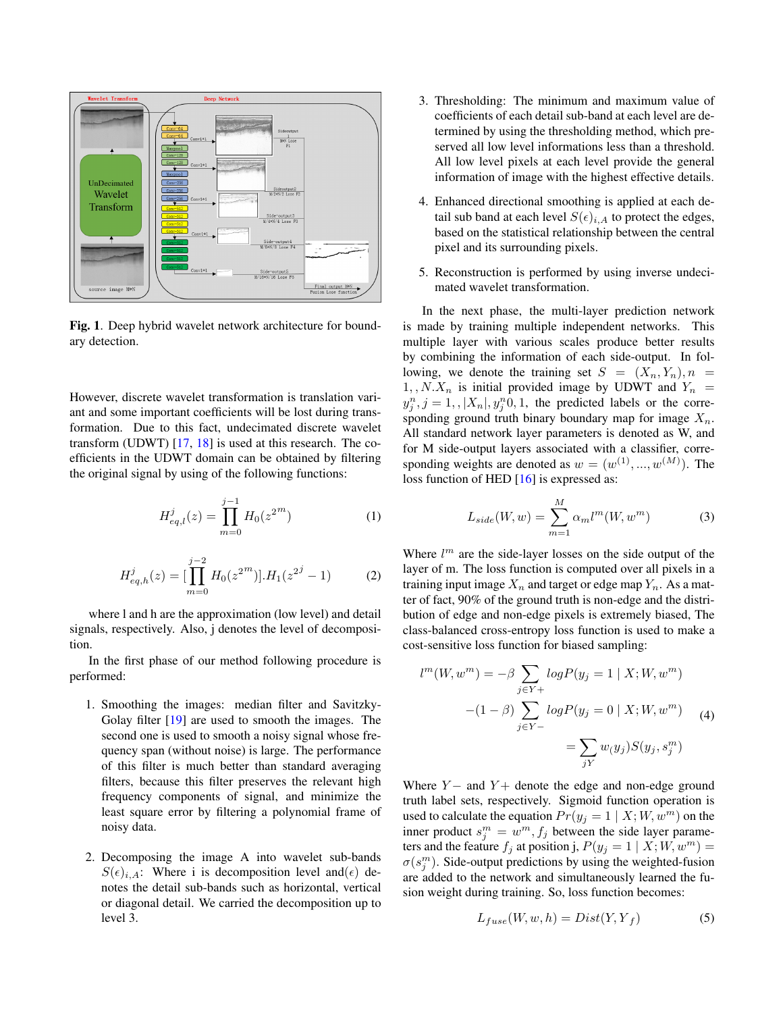

<span id="page-1-0"></span>Fig. 1. Deep hybrid wavelet network architecture for boundary detection.

However, discrete wavelet transformation is translation variant and some important coefficients will be lost during transformation. Due to this fact, undecimated discrete wavelet transform (UDWT) [\[17,](#page-3-16) [18\]](#page-3-17) is used at this research. The coefficients in the UDWT domain can be obtained by filtering the original signal by using of the following functions:

$$
H_{eq,l}^{j}(z) = \prod_{m=0}^{j-1} H_0(z^{2m})
$$
 (1)

$$
H_{eq,h}^{j}(z) = \left[\prod_{m=0}^{j-2} H_0(z^{2^m})\right] \cdot H_1(z^{2^j} - 1)
$$
 (2)

where l and h are the approximation (low level) and detail signals, respectively. Also, j denotes the level of decomposition.

In the first phase of our method following procedure is performed:

- 1. Smoothing the images: median filter and Savitzky-Golay filter [\[19\]](#page-3-18) are used to smooth the images. The second one is used to smooth a noisy signal whose frequency span (without noise) is large. The performance of this filter is much better than standard averaging filters, because this filter preserves the relevant high frequency components of signal, and minimize the least square error by filtering a polynomial frame of noisy data.
- 2. Decomposing the image A into wavelet sub-bands  $S(\epsilon)_{i,A}$ : Where i is decomposition level and( $\epsilon$ ) denotes the detail sub-bands such as horizontal, vertical or diagonal detail. We carried the decomposition up to level 3.
- 3. Thresholding: The minimum and maximum value of coefficients of each detail sub-band at each level are determined by using the thresholding method, which preserved all low level informations less than a threshold. All low level pixels at each level provide the general information of image with the highest effective details.
- 4. Enhanced directional smoothing is applied at each detail sub band at each level  $S(\epsilon)_{i,A}$  to protect the edges, based on the statistical relationship between the central pixel and its surrounding pixels.
- 5. Reconstruction is performed by using inverse undecimated wavelet transformation.

In the next phase, the multi-layer prediction network is made by training multiple independent networks. This multiple layer with various scales produce better results by combining the information of each side-output. In following, we denote the training set  $S = (X_n, Y_n), n =$  $1, N.X_n$  is initial provided image by UDWT and  $Y_n$  =  $y_j^n$ ,  $j = 1, |X_n|$ ,  $y_j^n$ 0, 1, the predicted labels or the corresponding ground truth binary boundary map for image  $X_n$ . All standard network layer parameters is denoted as W, and for M side-output layers associated with a classifier, corresponding weights are denoted as  $w = (w^{(1)}, ..., w^{(M)})$ . The loss function of HED [\[16\]](#page-3-15) is expressed as:

$$
L_{side}(W, w) = \sum_{m=1}^{M} \alpha_m l^m(W, w^m)
$$
 (3)

Where  $l^m$  are the side-layer losses on the side output of the layer of m. The loss function is computed over all pixels in a training input image  $X_n$  and target or edge map  $Y_n$ . As a matter of fact, 90% of the ground truth is non-edge and the distribution of edge and non-edge pixels is extremely biased, The class-balanced cross-entropy loss function is used to make a cost-sensitive loss function for biased sampling:

$$
l^{m}(W, w^{m}) = -\beta \sum_{j \in Y^{+}} log P(y_{j} = 1 | X; W, w^{m})
$$

$$
-(1 - \beta) \sum_{j \in Y^{-}} log P(y_{j} = 0 | X; W, w^{m})
$$

$$
= \sum_{jY} w(y_{j}) S(y_{j}, s_{j}^{m})
$$
(4)

Where  $Y-$  and  $Y+$  denote the edge and non-edge ground truth label sets, respectively. Sigmoid function operation is used to calculate the equation  $Pr(y_j = 1 | X; W, w^m)$  on the inner product  $s_j^m = w^m, f_j$  between the side layer parameters and the feature  $f_j$  at position j,  $P(y_j = 1 | X; W, w^m) =$  $\sigma(s_j^m)$ . Side-output predictions by using the weighted-fusion are added to the network and simultaneously learned the fusion weight during training. So, loss function becomes:

$$
L_{fuse}(W, w, h) = Dist(Y, Y_f)
$$
\n(5)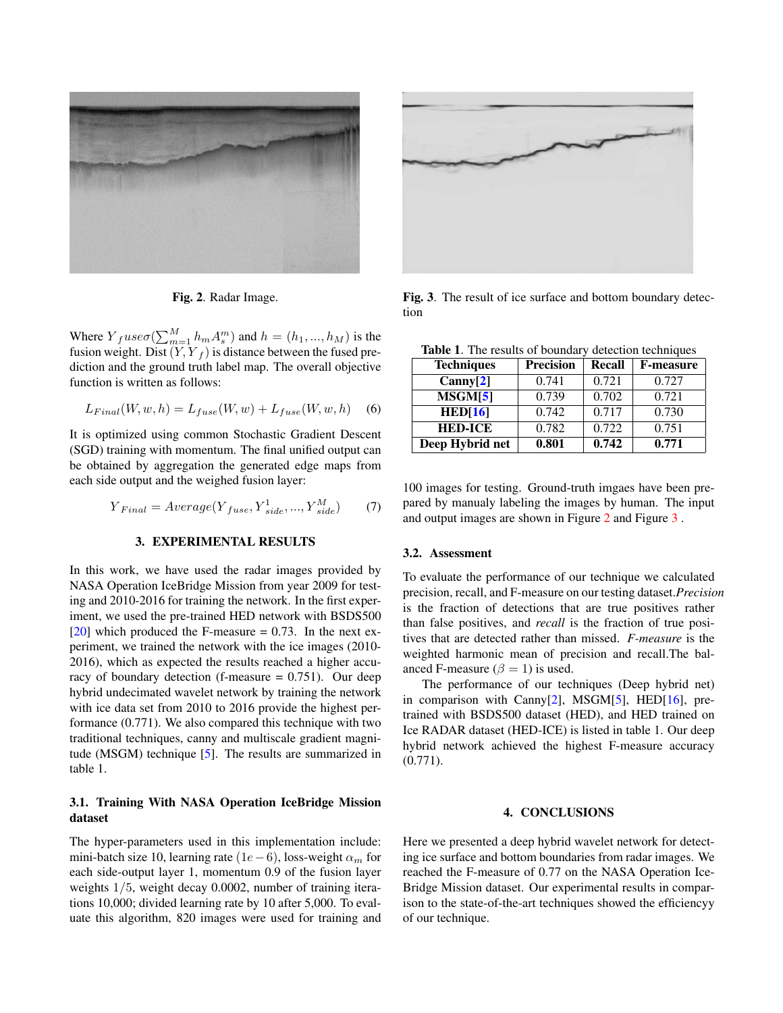

Fig. 2. Radar Image.

<span id="page-2-0"></span>Where  $Y_fuse\sigma(\sum_{m=1}^{M}h_m A_s^m)$  and  $h = (h_1, ..., h_M)$  is the fusion weight. Dist  $(Y, Y_f)$  is distance between the fused prediction and the ground truth label map. The overall objective function is written as follows:

$$
L_{Final}(W, w, h) = L_{fuse}(W, w) + L_{fuse}(W, w, h)
$$
 (6)

It is optimized using common Stochastic Gradient Descent (SGD) training with momentum. The final unified output can be obtained by aggregation the generated edge maps from each side output and the weighed fusion layer:

$$
Y_{Final} = Average(Y_{fuse}, Y_{side}^{1}, ..., Y_{side}^{M})
$$
 (7)

### 3. EXPERIMENTAL RESULTS

In this work, we have used the radar images provided by NASA Operation IceBridge Mission from year 2009 for testing and 2010-2016 for training the network. In the first experiment, we used the pre-trained HED network with BSDS500 [\[20\]](#page-3-19) which produced the F-measure  $= 0.73$ . In the next experiment, we trained the network with the ice images (2010- 2016), which as expected the results reached a higher accuracy of boundary detection (f-measure  $= 0.751$ ). Our deep hybrid undecimated wavelet network by training the network with ice data set from 2010 to 2016 provide the highest performance (0.771). We also compared this technique with two traditional techniques, canny and multiscale gradient magnitude (MSGM) technique [\[5\]](#page-3-4). The results are summarized in table 1.

## 3.1. Training With NASA Operation IceBridge Mission dataset

The hyper-parameters used in this implementation include: mini-batch size 10, learning rate  $(1e-6)$ , loss-weight  $\alpha_m$  for each side-output layer 1, momentum 0.9 of the fusion layer weights 1/5, weight decay 0.0002, number of training iterations 10,000; divided learning rate by 10 after 5,000. To evaluate this algorithm, 820 images were used for training and



Fig. 3. The result of ice surface and bottom boundary detection

<span id="page-2-1"></span>Table 1. The results of boundary detection techniques

| <b>Techniques</b> | <b>Precision</b> | Recall | <b>F-measure</b> |
|-------------------|------------------|--------|------------------|
| Canny[2]          | 0.741            | 0.721  | 0.727            |
| MSGM[5]           | 0.739            | 0.702  | 0.721            |
| HED[16]           | 0.742            | 0.717  | 0.730            |
| <b>HED-ICE</b>    | 0.782            | 0.722  | 0.751            |
| Deep Hybrid net   | 0.801            | 0.742  | 0.771            |

100 images for testing. Ground-truth imgaes have been prepared by manualy labeling the images by human. The input and output images are shown in Figure [2](#page-2-0) and Figure [3](#page-2-1) .

#### 3.2. Assessment

To evaluate the performance of our technique we calculated precision, recall, and F-measure on our testing dataset.*Precision* is the fraction of detections that are true positives rather than false positives, and *recall* is the fraction of true positives that are detected rather than missed. *F-measure* is the weighted harmonic mean of precision and recall.The balanced F-measure ( $\beta = 1$ ) is used.

The performance of our techniques (Deep hybrid net) in comparison with Canny<sup>[\[2\]](#page-3-1)</sup>, MSGM<sup>[\[5\]](#page-3-4)</sup>, HED<sup>[\[16\]](#page-3-15)</sup>, pretrained with BSDS500 dataset (HED), and HED trained on Ice RADAR dataset (HED-ICE) is listed in table 1. Our deep hybrid network achieved the highest F-measure accuracy (0.771).

#### 4. CONCLUSIONS

Here we presented a deep hybrid wavelet network for detecting ice surface and bottom boundaries from radar images. We reached the F-measure of 0.77 on the NASA Operation Ice-Bridge Mission dataset. Our experimental results in comparison to the state-of-the-art techniques showed the efficiencyy of our technique.